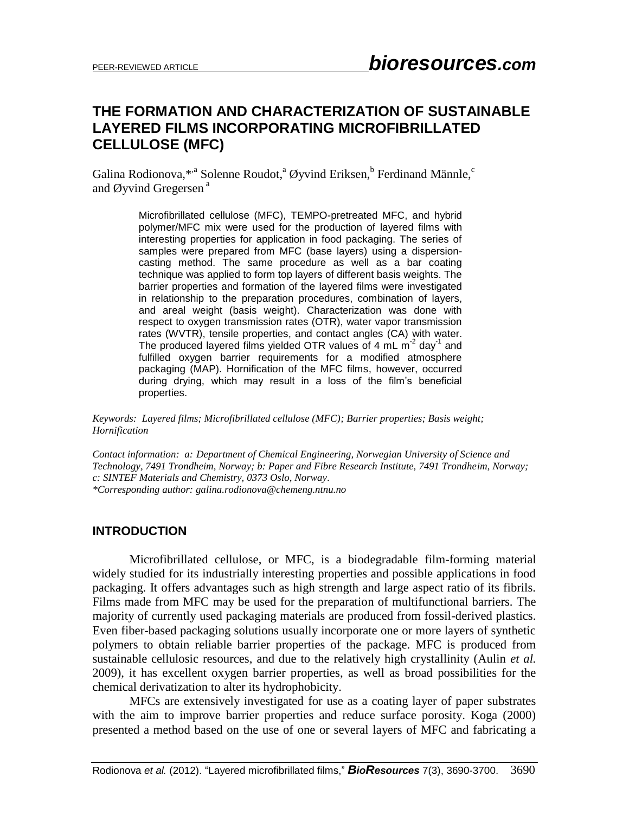# **THE FORMATION AND CHARACTERIZATION OF SUSTAINABLE LAYERED FILMS INCORPORATING MICROFIBRILLATED CELLULOSE (MFC)**

Galina Rodionova,\*<sup>,a</sup> Solenne Roudot,<sup>a</sup> Øyvind Eriksen,<sup>b</sup> Ferdinand Männle,<sup>c</sup> and Øyvind Gregersen<sup>a</sup>

> Microfibrillated cellulose (MFC), TEMPO-pretreated MFC, and hybrid polymer/MFC mix were used for the production of layered films with interesting properties for application in food packaging. The series of samples were prepared from MFC (base layers) using a dispersioncasting method. The same procedure as well as a bar coating technique was applied to form top layers of different basis weights. The barrier properties and formation of the layered films were investigated in relationship to the preparation procedures, combination of layers, and areal weight (basis weight). Characterization was done with respect to oxygen transmission rates (OTR), water vapor transmission rates (WVTR), tensile properties, and contact angles (CA) with water. The produced layered films yielded OTR values of 4 mL  $m^2$  day<sup>1</sup> and fulfilled oxygen barrier requirements for a modified atmosphere packaging (MAP). Hornification of the MFC films, however, occurred during drying, which may result in a loss of the film's beneficial properties.

*Keywords: Layered films; Microfibrillated cellulose (MFC); Barrier properties; Basis weight; Hornification*

*Contact information: a: Department of Chemical Engineering, Norwegian University of Science and Technology, 7491 Trondheim, Norway; b: Paper and Fibre Research Institute, 7491 Trondheim, Norway; c: SINTEF Materials and Chemistry, 0373 Oslo, Norway. \*Corresponding author[: galina.rodionova@chemeng.ntnu.no](mailto:galina.rodionova@chemeng.ntnu.no)*

### **INTRODUCTION**

Microfibrillated cellulose, or MFC, is a biodegradable film-forming material widely studied for its industrially interesting properties and possible applications in food packaging. It offers advantages such as high strength and large aspect ratio of its fibrils. Films made from MFC may be used for the preparation of multifunctional barriers. The majority of currently used packaging materials are produced from fossil-derived plastics. Even fiber-based packaging solutions usually incorporate one or more layers of synthetic polymers to obtain reliable barrier properties of the package. MFC is produced from sustainable cellulosic resources, and due to the relatively high crystallinity (Aulin *et al.* 2009), it has excellent oxygen barrier properties, as well as broad possibilities for the chemical derivatization to alter its hydrophobicity.

MFCs are extensively investigated for use as a coating layer of paper substrates with the aim to improve barrier properties and reduce surface porosity. Koga (2000) presented a method based on the use of one or several layers of MFC and fabricating a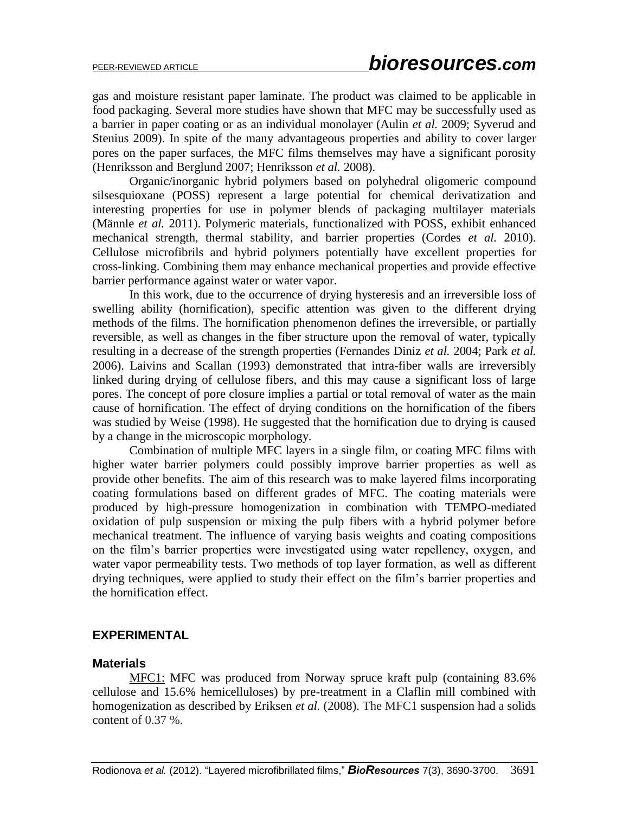gas and moisture resistant paper laminate. The product was claimed to be applicable in food packaging. Several more studies have shown that MFC may be successfully used as a barrier in paper coating or as an individual monolayer (Aulin *et al.* 2009; Syverud and Stenius 2009). In spite of the many advantageous properties and ability to cover larger pores on the paper surfaces, the MFC films themselves may have a significant porosity (Henriksson and Berglund 2007; Henriksson *et al.* 2008).

Organic/inorganic hybrid polymers based on polyhedral oligomeric compound silsesquioxane (POSS) represent a large potential for chemical derivatization and interesting properties for use in polymer blends of packaging multilayer materials (Männle *et al.* 2011). Polymeric materials, functionalized with POSS, exhibit enhanced mechanical strength, thermal stability, and barrier properties (Cordes *et al.* 2010). Cellulose microfibrils and hybrid polymers potentially have excellent properties for cross-linking. Combining them may enhance mechanical properties and provide effective barrier performance against water or water vapor.

In this work, due to the occurrence of drying hysteresis and an irreversible loss of swelling ability (hornification), specific attention was given to the different drying methods of the films. The hornification phenomenon defines the irreversible, or partially reversible, as well as changes in the fiber structure upon the removal of water, typically resulting in a decrease of the strength properties (Fernandes Diniz *et al.* 2004; Park *et al.* 2006). Laivins and Scallan (1993) demonstrated that intra-fiber walls are irreversibly linked during drying of cellulose fibers, and this may cause a significant loss of large pores. The concept of pore closure implies a partial or total removal of water as the main cause of hornification. The effect of drying conditions on the hornification of the fibers was studied by Weise (1998). He suggested that the hornification due to drying is caused by a change in the microscopic morphology.

Combination of multiple MFC layers in a single film, or coating MFC films with higher water barrier polymers could possibly improve barrier properties as well as provide other benefits. The aim of this research was to make layered films incorporating coating formulations based on different grades of MFC. The coating materials were produced by high-pressure homogenization in combination with TEMPO-mediated oxidation of pulp suspension or mixing the pulp fibers with a hybrid polymer before mechanical treatment. The influence of varying basis weights and coating compositions on the film's barrier properties were investigated using water repellency, oxygen, and water vapor permeability tests. Two methods of top layer formation, as well as different drying techniques, were applied to study their effect on the film's barrier properties and the hornification effect.

### **EXPERIMENTAL**

## **Materials**

MFC1: MFC was produced from Norway spruce kraft pulp (containing 83.6% cellulose and 15.6% hemicelluloses) by pre-treatment in a Claflin mill combined with homogenization as described by Eriksen *et al.* (2008). The MFC1 suspension had a solids content of 0.37 %.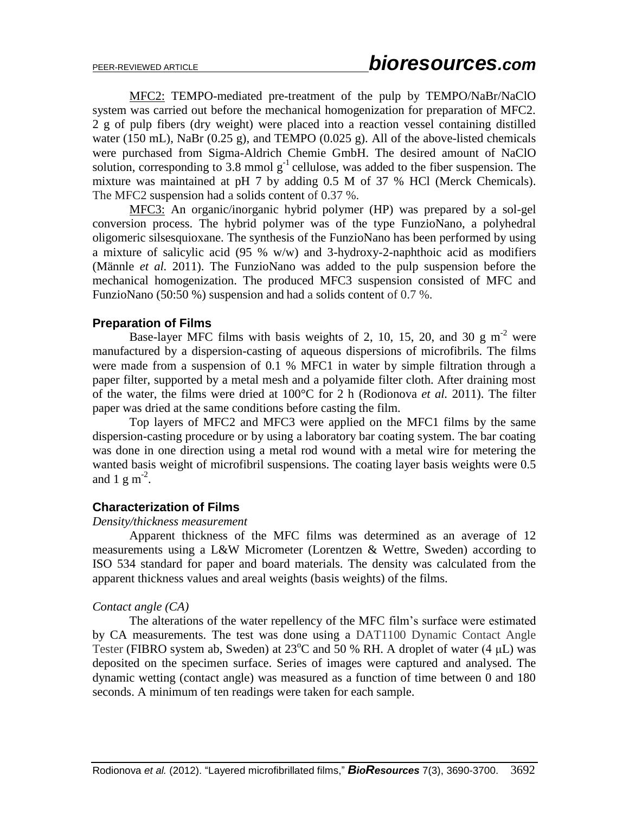MFC2: TEMPO-mediated pre-treatment of the pulp by TEMPO/NaBr/NaClO system was carried out before the mechanical homogenization for preparation of MFC2. 2 g of pulp fibers (dry weight) were placed into a reaction vessel containing distilled water (150 mL), NaBr (0.25 g), and TEMPO (0.025 g). All of the above-listed chemicals were purchased from Sigma-Aldrich Chemie GmbH. The desired amount of NaClO solution, corresponding to 3.8 mmol  $g^{-1}$  cellulose, was added to the fiber suspension. The mixture was maintained at pH 7 by adding 0.5 M of 37 % HCl (Merck Chemicals). The MFC2 suspension had a solids content of 0.37 %.

MFC3: An organic/inorganic hybrid polymer (HP) was prepared by a sol-gel conversion process. The hybrid polymer was of the type FunzioNano, a polyhedral oligomeric silsesquioxane. The synthesis of the FunzioNano has been performed by using a mixture of salicylic acid (95 % w/w) and 3-hydroxy-2-naphthoic acid as modifiers (Männle *et al.* 2011). The FunzioNano was added to the pulp suspension before the mechanical homogenization. The produced MFC3 suspension consisted of MFC and FunzioNano (50:50 %) suspension and had a solids content of 0.7 %.

### **Preparation of Films**

Base-layer MFC films with basis weights of 2, 10, 15, 20, and 30 g  $m<sup>-2</sup>$  were manufactured by a dispersion-casting of aqueous dispersions of microfibrils. The films were made from a suspension of 0.1 % MFC1 in water by simple filtration through a paper filter, supported by a metal mesh and a polyamide filter cloth. After draining most of the water, the films were dried at 100°C for 2 h (Rodionova *et al.* 2011). The filter paper was dried at the same conditions before casting the film.

Top layers of MFC2 and MFC3 were applied on the MFC1 films by the same dispersion-casting procedure or by using a laboratory bar coating system. The bar coating was done in one direction using a metal rod wound with a metal wire for metering the wanted basis weight of microfibril suspensions. The coating layer basis weights were 0.5 and  $1 \text{ g m}^{-2}$ .

### **Characterization of Films**

#### *Density/thickness measurement*

Apparent thickness of the MFC films was determined as an average of 12 measurements using a L&W Micrometer (Lorentzen & Wettre, Sweden) according to ISO 534 standard for paper and board materials. The density was calculated from the apparent thickness values and areal weights (basis weights) of the films.

### *Contact angle (CA)*

The alterations of the water repellency of the MFC film's surface were estimated by CA measurements. The test was done using a DAT1100 Dynamic Contact Angle Tester (FIBRO system ab, Sweden) at  $23^{\circ}$ C and 50 % RH. A droplet of water (4 µL) was deposited on the specimen surface. Series of images were captured and analysed. The dynamic wetting (contact angle) was measured as a function of time between 0 and 180 seconds. A minimum of ten readings were taken for each sample.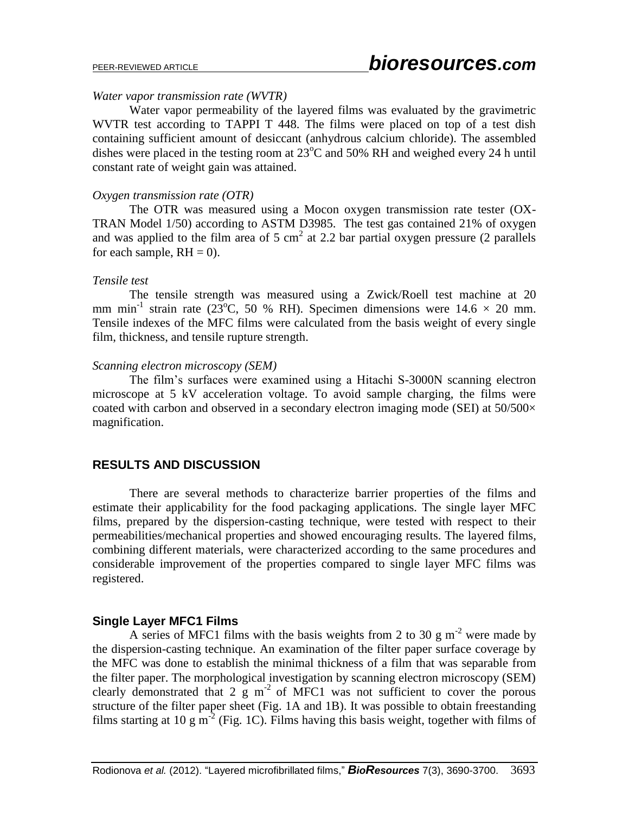#### *Water vapor transmission rate (WVTR)*

Water vapor permeability of the layered films was evaluated by the gravimetric WVTR test according to TAPPI T 448. The films were placed on top of a test dish containing sufficient amount of desiccant (anhydrous calcium chloride). The assembled dishes were placed in the testing room at  $23^{\circ}$ C and 50% RH and weighed every 24 h until constant rate of weight gain was attained.

#### *Oxygen transmission rate (OTR)*

The OTR was measured using a Mocon oxygen transmission rate tester (OX-TRAN Model 1/50) according to ASTM D3985. The test gas contained 21% of oxygen and was applied to the film area of 5 cm<sup>2</sup> at 2.2 bar partial oxygen pressure (2 parallels for each sample,  $RH = 0$ ).

#### *Tensile test*

The tensile strength was measured using a Zwick/Roell test machine at 20 mm min<sup>-1</sup> strain rate (23°C, 50 % RH). Specimen dimensions were  $14.6 \times 20$  mm. Tensile indexes of the MFC films were calculated from the basis weight of every single film, thickness, and tensile rupture strength.

#### *Scanning electron microscopy (SEM)*

The film's surfaces were examined using a Hitachi S-3000N scanning electron microscope at 5 kV acceleration voltage. To avoid sample charging, the films were coated with carbon and observed in a secondary electron imaging mode (SEI) at  $50/500 \times$ magnification.

# **RESULTS AND DISCUSSION**

There are several methods to characterize barrier properties of the films and estimate their applicability for the food packaging applications. The single layer MFC films, prepared by the dispersion-casting technique, were tested with respect to their permeabilities/mechanical properties and showed encouraging results. The layered films, combining different materials, were characterized according to the same procedures and considerable improvement of the properties compared to single layer MFC films was registered.

### **Single Layer MFC1 Films**

A series of MFC1 films with the basis weights from 2 to 30 g  $m<sup>2</sup>$  were made by the dispersion-casting technique. An examination of the filter paper surface coverage by the MFC was done to establish the minimal thickness of a film that was separable from the filter paper. The morphological investigation by scanning electron microscopy (SEM) clearly demonstrated that  $2 \times \text{g m}^2$  of MFC1 was not sufficient to cover the porous structure of the filter paper sheet (Fig. 1A and 1B). It was possible to obtain freestanding films starting at 10 g m<sup>-2</sup> (Fig. 1C). Films having this basis weight, together with films of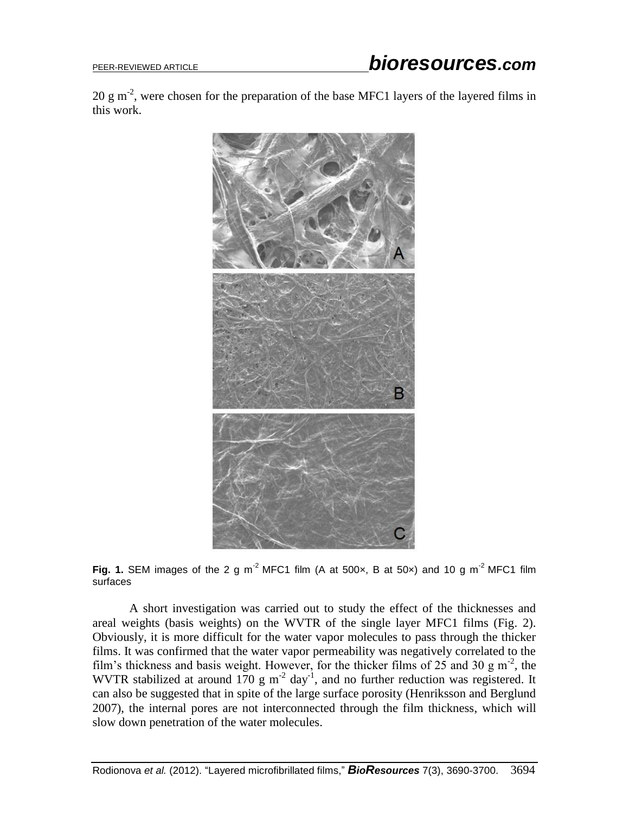20 g m<sup>-2</sup>, were chosen for the preparation of the base MFC1 layers of the layered films in this work.





A short investigation was carried out to study the effect of the thicknesses and areal weights (basis weights) on the WVTR of the single layer MFC1 films (Fig. 2). Obviously, it is more difficult for the water vapor molecules to pass through the thicker films. It was confirmed that the water vapor permeability was negatively correlated to the film's thickness and basis weight. However, for the thicker films of  $25$  and  $30 \text{ g m}^{-2}$ , the WVTR stabilized at around 170 g m<sup>-2</sup> day<sup>-1</sup>, and no further reduction was registered. It can also be suggested that in spite of the large surface porosity (Henriksson and Berglund 2007), the internal pores are not interconnected through the film thickness, which will slow down penetration of the water molecules.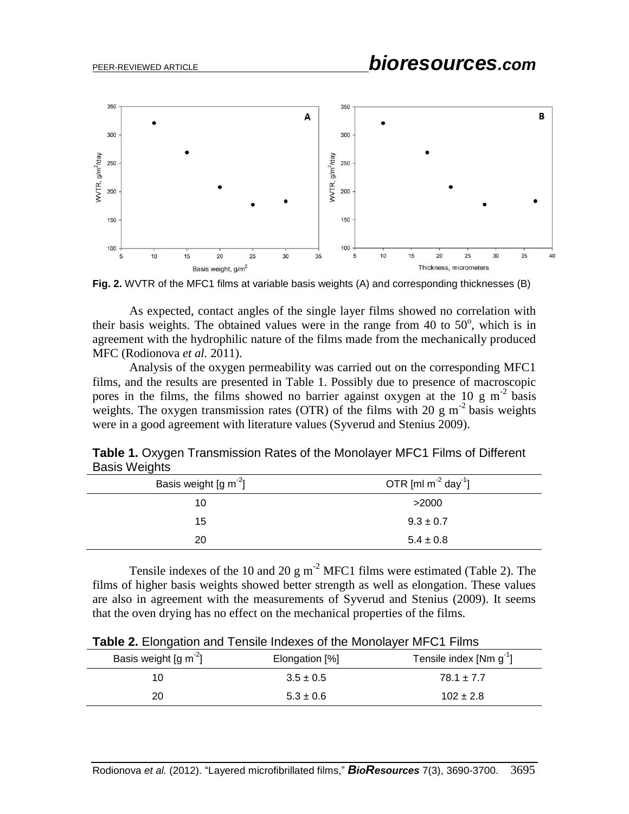

**Fig. 2.** WVTR of the MFC1 films at variable basis weights (A) and corresponding thicknesses (B)

As expected, contact angles of the single layer films showed no correlation with their basis weights. The obtained values were in the range from 40 to  $50^{\circ}$ , which is in agreement with the hydrophilic nature of the films made from the mechanically produced MFC (Rodionova *et al.* 2011).

Analysis of the oxygen permeability was carried out on the corresponding MFC1 films, and the results are presented in Table 1. Possibly due to presence of macroscopic pores in the films, the films showed no barrier against oxygen at the 10 g  $m<sup>2</sup>$  basis weights. The oxygen transmission rates (OTR) of the films with 20 g  $m^{-2}$  basis weights were in a good agreement with literature values (Syverud and Stenius 2009).

**Table 1.** Oxygen Transmission Rates of the Monolayer MFC1 Films of Different Basis Weights

| Basis weight $\left[\text{g m}^2\right]$ | OTR [ml $m^{-2}$ day <sup>-1</sup> ] |
|------------------------------------------|--------------------------------------|
| 10                                       | >2000                                |
| 15                                       | $9.3 \pm 0.7$                        |
| 20                                       | $5.4 \pm 0.8$                        |

Tensile indexes of the 10 and 20 g  $m^{-2}$  MFC1 films were estimated (Table 2). The films of higher basis weights showed better strength as well as elongation. These values are also in agreement with the measurements of Syverud and Stenius (2009). It seems that the oven drying has no effect on the mechanical properties of the films.

| <b>TWO EI</b> EIGHGGUCH GHG TOHORO HIGOAOO OF GIO MOHOIGYOF IVIL O FILIHIO |                |                          |
|----------------------------------------------------------------------------|----------------|--------------------------|
| Basis weight $\left[\text{g m}^2\right]$                                   | Elongation [%] | Tensile index $[Nm g-1]$ |
| 10                                                                         | $3.5 \pm 0.5$  | $78.1 \pm 7.7$           |
| 20                                                                         | $5.3 \pm 0.6$  | $102 \pm 2.8$            |

**Table 2.** Elongation and Tensile Indexes of the Monolayer MFC1 Films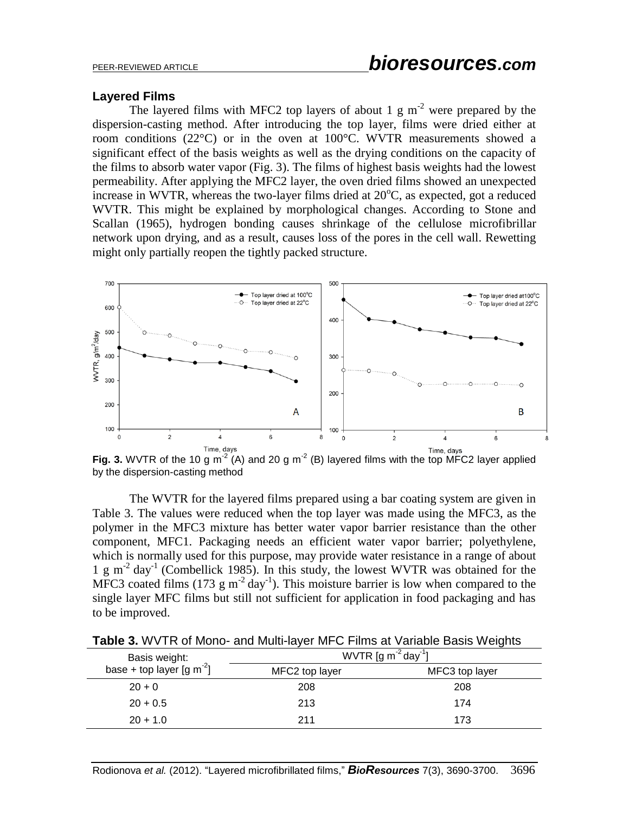#### **Layered Films**

The layered films with MFC2 top layers of about 1 g  $m<sup>-2</sup>$  were prepared by the dispersion-casting method. After introducing the top layer, films were dried either at room conditions (22°C) or in the oven at 100°C. WVTR measurements showed a significant effect of the basis weights as well as the drying conditions on the capacity of the films to absorb water vapor (Fig. 3). The films of highest basis weights had the lowest permeability. After applying the MFC2 layer, the oven dried films showed an unexpected increase in WVTR, whereas the two-layer films dried at  $20^{\circ}$ C, as expected, got a reduced WVTR. This might be explained by morphological changes. According to Stone and Scallan (1965), hydrogen bonding causes shrinkage of the cellulose microfibrillar network upon drying, and as a result, causes loss of the pores in the cell wall. Rewetting might only partially reopen the tightly packed structure.



Fig. 3. WVTR of the 10 g m<sup>-2</sup> (A) and 20 g m<sup>-2</sup> (B) layered films with the top MFC2 layer applied by the dispersion-casting method

The WVTR for the layered films prepared using a bar coating system are given in Table 3. The values were reduced when the top layer was made using the MFC3, as the polymer in the MFC3 mixture has better water vapor barrier resistance than the other component, MFC1. Packaging needs an efficient water vapor barrier; polyethylene, which is normally used for this purpose, may provide water resistance in a range of about 1 g m<sup>-2</sup> day<sup>-1</sup> (Combellick 1985). In this study, the lowest WVTR was obtained for the MFC3 coated films (173  $\text{g m}^2$  day<sup>-1</sup>). This moisture barrier is low when compared to the single layer MFC films but still not sufficient for application in food packaging and has to be improved.

| Basis weight:                                | WVTR $[g m^{-2} day^{-1}]$ |                |
|----------------------------------------------|----------------------------|----------------|
| base + top layer $\left[\text{g m}^2\right]$ | MFC2 top layer             | MFC3 top layer |
| $20 + 0$                                     | 208                        | 208            |
| $20 + 0.5$                                   | 213                        | 174            |
| $20 + 1.0$                                   | 211                        | 173            |

**Table 3.** WVTR of Mono- and Multi-layer MFC Films at Variable Basis Weights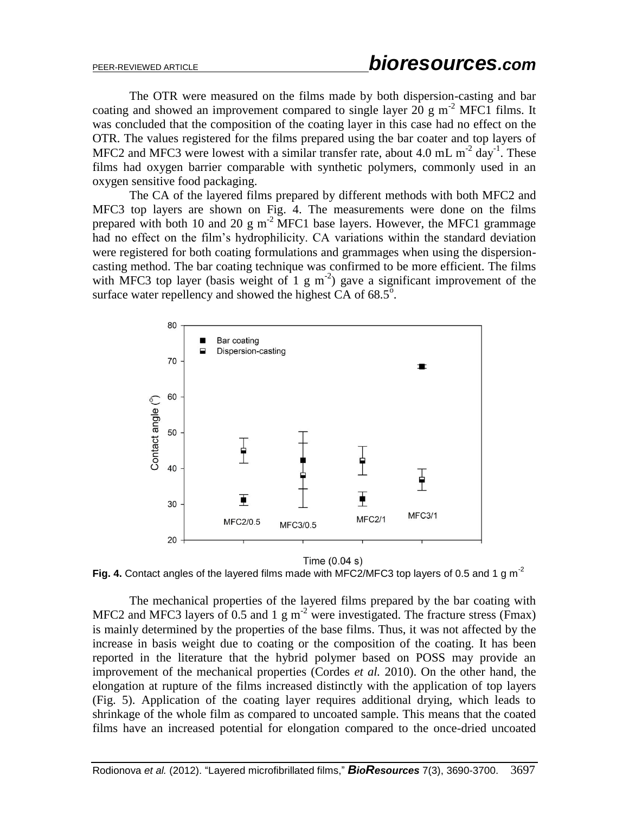The OTR were measured on the films made by both dispersion-casting and bar coating and showed an improvement compared to single layer 20 g  $m^{-2}$  MFC1 films. It was concluded that the composition of the coating layer in this case had no effect on the OTR. The values registered for the films prepared using the bar coater and top layers of MFC2 and MFC3 were lowest with a similar transfer rate, about 4.0 mL  $m^{-2}$  day<sup>-1</sup>. These films had oxygen barrier comparable with synthetic polymers, commonly used in an oxygen sensitive food packaging.

The CA of the layered films prepared by different methods with both MFC2 and MFC3 top layers are shown on Fig. 4. The measurements were done on the films prepared with both 10 and 20 g m<sup>-2</sup> MFC1 base layers. However, the MFC1 grammage had no effect on the film's hydrophilicity. CA variations within the standard deviation were registered for both coating formulations and grammages when using the dispersioncasting method. The bar coating technique was confirmed to be more efficient. The films with MFC3 top layer (basis weight of 1 g m<sup>-2</sup>) gave a significant improvement of the surface water repellency and showed the highest CA of  $68.5^\circ$ .



#### Time  $(0.04 s)$

Fig. 4. Contact angles of the layered films made with MFC2/MFC3 top layers of 0.5 and 1 g m<sup>-2</sup>

The mechanical properties of the layered films prepared by the bar coating with MFC2 and MFC3 layers of 0.5 and 1 g m<sup>-2</sup> were investigated. The fracture stress (Fmax) is mainly determined by the properties of the base films. Thus, it was not affected by the increase in basis weight due to coating or the composition of the coating. It has been reported in the literature that the hybrid polymer based on POSS may provide an improvement of the mechanical properties (Cordes *et al.* 2010). On the other hand, the elongation at rupture of the films increased distinctly with the application of top layers (Fig. 5). Application of the coating layer requires additional drying, which leads to shrinkage of the whole film as compared to uncoated sample. This means that the coated films have an increased potential for elongation compared to the once-dried uncoated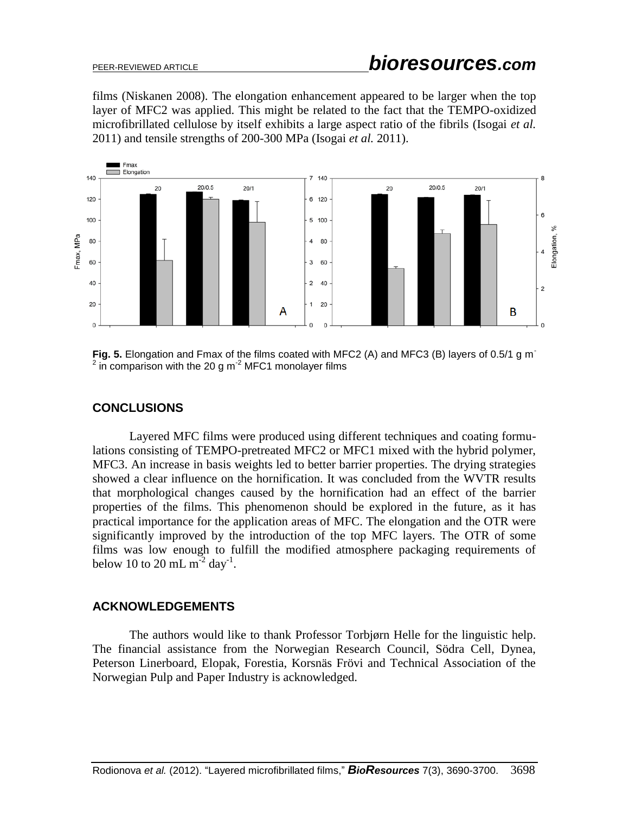films [\(Niskanen](http://www.google.no/search?hl=no&tbo=p&tbm=bks&q=inauthor:%22Niskanen+Kaarlo%22&source=gbs_metadata_r&cad=3) 2008). The elongation enhancement appeared to be larger when the top layer of MFC2 was applied. This might be related to the fact that the TEMPO-oxidized microfibrillated cellulose by itself exhibits a large aspect ratio of the fibrils (Isogai *et al.* 2011) and tensile strengths of 200-300 MPa (Isogai *et al.* 2011).



**Fig. 5.** Elongation and Fmax of the films coated with MFC2 (A) and MFC3 (B) layers of 0.5/1 g m<sup>-</sup>  $2$  in comparison with the 20 g m<sup>-2</sup> MFC1 monolayer films

# **CONCLUSIONS**

Layered MFC films were produced using different techniques and coating formulations consisting of TEMPO-pretreated MFC2 or MFC1 mixed with the hybrid polymer, MFC3. An increase in basis weights led to better barrier properties. The drying strategies showed a clear influence on the hornification. It was concluded from the WVTR results that morphological changes caused by the hornification had an effect of the barrier properties of the films. This phenomenon should be explored in the future, as it has practical importance for the application areas of MFC. The elongation and the OTR were significantly improved by the introduction of the top MFC layers. The OTR of some films was low enough to fulfill the modified atmosphere packaging requirements of below 10 to 20 mL  $m^{-2}$  day<sup>-1</sup>.

### **ACKNOWLEDGEMENTS**

The authors would like to thank Professor Torbjørn Helle for the linguistic help. The financial assistance from the Norwegian Research Council, Södra Cell, Dynea, Peterson Linerboard, Elopak, Forestia, Korsnäs Frövi and Technical Association of the Norwegian Pulp and Paper Industry is acknowledged.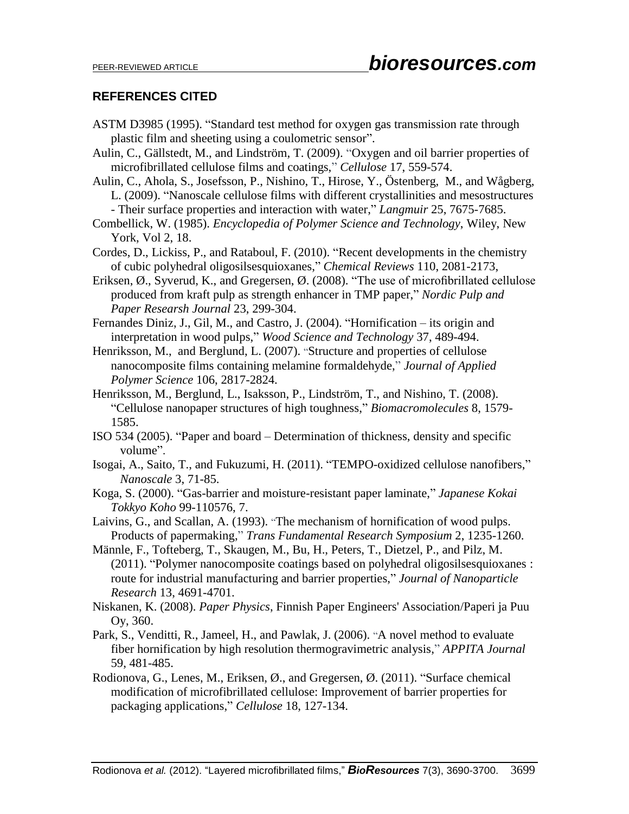# **REFERENCES CITED**

- ASTM D3985 (1995). "Standard test method for oxygen gas transmission rate through plastic film and sheeting using a coulometric sensor".
- Aulin, C., Gällstedt, M., and Lindström, T. (2009). "Oxygen and oil barrier properties of microfibrillated cellulose films and coatings," *Cellulose* 17, 559-574.
- Aulin, C., Ahola, S., Josefsson, P., Nishino, T., Hirose, Y., Östenberg, M., and Wågberg, L. (2009). "Nanoscale cellulose films with different crystallinities and mesostructures - Their surface properties and interaction with water," *Langmuir* 25, 7675-7685.
- Combellick, W. (1985). *Encyclopedia of Polymer Science and Technology*, Wiley, New

- Cordes, D., Lickiss, P., and Rataboul, F. (2010). "Recent developments in the chemistry of cubic polyhedral oligosilsesquioxanes," *Chemical Reviews* 110, 2081-2173,
- Eriksen, Ø., Syverud, K., and Gregersen, Ø. (2008). "The use of microfibrillated cellulose produced from kraft pulp as strength enhancer in TMP paper," *Nordic Pulp and Paper Researsh Journal* 23, 299-304.
- Fernandes Diniz, J., Gil, M., and Castro, J. (2004). "Hornification its origin and interpretation in wood pulps," *Wood Science and Technology* 37, 489-494.
- Henriksson, M., and Berglund, L. (2007). "Structure and properties of cellulose nanocomposite films containing melamine formaldehyde," *Journal of Applied Polymer Science* 106, 2817-2824.
- Henriksson, M., Berglund, L., Isaksson, P., Lindström, T., and Nishino, T. (2008). "Cellulose nanopaper structures of high toughness," *Biomacromolecules* 8, 1579- 1585.
- ISO 534 (2005). "Paper and board Determination of thickness, density and specific volume".
- Isogai, A., Saito, T., and Fukuzumi, H. (2011). "TEMPO-oxidized cellulose nanofibers," *Nanoscale* 3, 71-85.
- Koga, S. (2000). "Gas-barrier and moisture-resistant paper laminate," *Japanese Kokai Tokkyo Koho* 99-110576, 7.
- Laivins, G., and Scallan, A. (1993). "The mechanism of hornification of wood pulps. Products of papermaking," *Trans Fundamental Research Symposium* 2, 1235-1260.
- Männle, F., Tofteberg, T., Skaugen, M., Bu, H., Peters, T., Dietzel, P., and Pilz, M. (2011). "Polymer nanocomposite coatings based on polyhedral oligosilsesquioxanes : route for industrial manufacturing and barrier properties," *Journal of Nanoparticle Research* 13, 4691-4701.
- Niskanen, K. (2008). *Paper Physics*, Finnish Paper Engineers' Association/Paperi ja Puu Oy, 360.
- Park, S., Venditti, R., Jameel, H., and Pawlak, J. (2006). "A novel method to evaluate fiber hornification by high resolution thermogravimetric analysis," *APPITA Journal* 59, 481-485.
- Rodionova, G., Lenes, M., Eriksen, Ø., and Gregersen, Ø. (2011). "Surface [chemical](http://www.springerlink.com/content/p187352h43477476/) modification of [microfibrillated](http://www.springerlink.com/content/p187352h43477476/) cellulose: Improvement of barrier properties for packaging [applications,](http://www.springerlink.com/content/p187352h43477476/)" *Cellulose* 18, 127-134.

York, Vol 2, 18.